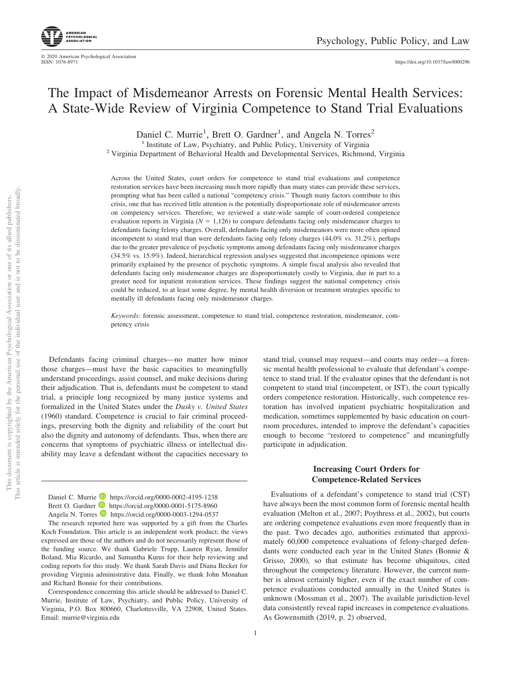© 2020 American Psychological Association ISSN: 1076-8971

# The Impact of Misdemeanor Arrests on Forensic Mental Health Services: A State-Wide Review of Virginia Competence to Stand Trial Evaluations

Daniel C. Murrie<sup>1</sup>, Brett O. Gardner<sup>1</sup>, and Angela N. Torres<sup>2</sup> <sup>1</sup> Institute of Law, Psychiatry, and Public Policy, University of Virginia <sup>2</sup> Virginia Department of Behavioral Health and Developmental Services, Richmond, Virginia

Across the United States, court orders for competence to stand trial evaluations and competence restoration services have been increasing much more rapidly than many states can provide these services, prompting what has been called a national "competency crisis." Though many factors contribute to this crisis, one that has received little attention is the potentially disproportionate role of misdemeanor arrests on competency services. Therefore, we reviewed a state-wide sample of court-ordered competence evaluation reports in Virginia  $(N = 1,126)$  to compare defendants facing only misdemeanor charges to defendants facing felony charges. Overall, defendants facing only misdemeanors were more often opined incompetent to stand trial than were defendants facing only felony charges (44.0% vs. 31.2%), perhaps due to the greater prevalence of psychotic symptoms among defendants facing only misdemeanor charges (34.5% vs. 15.9%). Indeed, hierarchical regression analyses suggested that incompetence opinions were primarily explained by the presence of psychotic symptoms. A simple fiscal analysis also revealed that defendants facing only misdemeanor charges are disproportionately costly to Virginia, due in part to a greater need for inpatient restoration services. These findings suggest the national competency crisis could be reduced, to at least some degree, by mental health diversion or treatment strategies specific to mentally ill defendants facing only misdemeanor charges.

*Keywords:* forensic assessment, competence to stand trial, competence restoration, misdemeanor, competency crisis

Defendants facing criminal charges—no matter how minor those charges—must have the basic capacities to meaningfully understand proceedings, assist counsel, and make decisions during their adjudication. That is, defendants must be competent to stand trial, a principle long recognized by many justice systems and formalized in the United States under the *Dusky v. United States* (1960) standard. Competence is crucial to fair criminal proceedings, preserving both the dignity and reliability of the court but also the dignity and autonomy of defendants. Thus, when there are concerns that symptoms of psychiatric illness or intellectual disability may leave a defendant without the capacities necessary to

Daniel C. Murrie D https://orcid.org/0000-0002-4195-1238 Brett O. Gardner **D** https://orcid.org/0000-0001-5175-8960 Angela N. Torres **D** https://orcid.org/0000-0003-1294-0537

The research reported here was supported by a gift from the Charles Koch Foundation. This article is an independent work product; the views expressed are those of the authors and do not necessarily represent those of the funding source. We thank Gabriele Trupp, Lauren Ryan, Jennifer Boland, Mia Ricardo, and Samantha Kurus for their help reviewing and coding reports for this study. We thank Sarah Davis and Diana Becker for providing Virginia administrative data. Finally, we thank John Monahan and Richard Bonnie for their contributions.

Correspondence concerning this article should be addressed to Daniel C. Murrie, Institute of Law, Psychiatry, and Public Policy, University of Virginia, P.O. Box 800660, Charlottesville, VA 22908, United States. Email: [murrie@virginia.edu](mailto:murrie@virginia.edu)

orders competence restoration. Historically, such competence restoration has involved inpatient psychiatric hospitalization and medication, sometimes supplemented by basic education on courtroom procedures, intended to improve the defendant's capacities enough to become "restored to competence" and meaningfully participate in adjudication. **Increasing Court Orders for Competence-Related Services**

stand trial, counsel may request—and courts may order—a forensic mental health professional to evaluate that defendant's competence to stand trial. If the evaluator opines that the defendant is not competent to stand trial (incompetent, or IST), the court typically

Evaluations of a defendant's competence to stand trial (CST) have always been the most common form of forensic mental health evaluation (Melton et al., 2007; Poythress et al., 2002), but courts are ordering competence evaluations even more frequently than in the past. Two decades ago, authorities estimated that approximately 60,000 competence evaluations of felony-charged defendants were conducted each year in the United States (Bonnie & Grisso, 2000), so that estimate has become ubiquitous, cited throughout the competency literature. However, the current number is almost certainly higher, even if the exact number of competence evaluations conducted annually in the United States is unknown (Mossman et al., 2007). The available jurisdiction-level data consistently reveal rapid increases in competence evaluations. As Gowensmith (2019, p. 2) observed,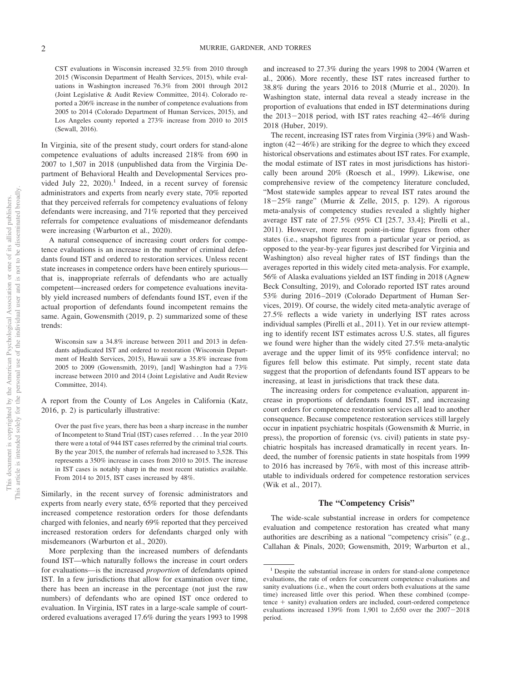CST evaluations in Wisconsin increased 32.5% from 2010 through 2015 (Wisconsin Department of Health Services, 2015), while evaluations in Washington increased 76.3% from 2001 through 2012 (Joint Legislative & Audit Review Committee, 2014). Colorado reported a 206% increase in the number of competence evaluations from 2005 to 2014 (Colorado Department of Human Services, 2015), and Los Angeles county reported a 273% increase from 2010 to 2015 (Sewall, 2016).

In Virginia, site of the present study, court orders for stand-alone competence evaluations of adults increased 218% from 690 in 2007 to 1,507 in 2018 (unpublished data from the Virginia Department of Behavioral Health and Developmental Services provided July 22,  $2020$ ).<sup>1</sup> Indeed, in a recent survey of forensic administrators and experts from nearly every state, 70% reported that they perceived referrals for competency evaluations of felony defendants were increasing, and 71% reported that they perceived referrals for competence evaluations of misdemeanor defendants were increasing (Warburton et al., 2020).

A natural consequence of increasing court orders for competence evaluations is an increase in the number of criminal defendants found IST and ordered to restoration services. Unless recent state increases in competence orders have been entirely spurious that is, inappropriate referrals of defendants who are actually competent—increased orders for competence evaluations inevitably yield increased numbers of defendants found IST, even if the actual proportion of defendants found incompetent remains the same. Again, Gowensmith (2019, p. 2) summarized some of these trends:

Wisconsin saw a 34.8% increase between 2011 and 2013 in defendants adjudicated IST and ordered to restoration (Wisconsin Department of Health Services, 2015), Hawaii saw a 35.8% increase from 2005 to 2009 (Gowensmith, 2019), [and] Washington had a 73% increase between 2010 and 2014 (Joint Legislative and Audit Review Committee, 2014).

A report from the County of Los Angeles in California (Katz, 2016, p. 2) is particularly illustrative:

Over the past five years, there has been a sharp increase in the number of Incompetent to Stand Trial (IST) cases referred . . . In the year 2010 there were a total of 944 IST cases referred by the criminal trial courts. By the year 2015, the number of referrals had increased to 3,528. This represents a 350% increase in cases from 2010 to 2015. The increase in IST cases is notably sharp in the most recent statistics available. From 2014 to 2015, IST cases increased by 48%.

Similarly, in the recent survey of forensic administrators and experts from nearly every state, 65% reported that they perceived increased competence restoration orders for those defendants charged with felonies, and nearly 69% reported that they perceived increased restoration orders for defendants charged only with misdemeanors (Warburton et al., 2020).

More perplexing than the increased numbers of defendants found IST—which naturally follows the increase in court orders for evaluations—is the increased *proportion* of defendants opined IST. In a few jurisdictions that allow for examination over time, there has been an increase in the percentage (not just the raw numbers) of defendants who are opined IST once ordered to evaluation. In Virginia, IST rates in a large-scale sample of courtordered evaluations averaged 17.6% during the years 1993 to 1998

and increased to 27.3% during the years 1998 to 2004 (Warren et al., 2006). More recently, these IST rates increased further to 38.8% during the years 2016 to 2018 (Murrie et al., 2020). In Washington state, internal data reveal a steady increase in the proportion of evaluations that ended in IST determinations during the  $2013 - 2018$  period, with IST rates reaching  $42 - 46\%$  during 2018 (Huber, 2019).

The recent, increasing IST rates from Virginia (39%) and Washington  $(42-46%)$  are striking for the degree to which they exceed historical observations and estimates about IST rates. For example, the modal estimate of IST rates in most jurisdictions has historically been around 20% (Roesch et al., 1999). Likewise, one comprehensive review of the competency literature concluded, "Most statewide samples appear to reveal IST rates around the 1825% range" (Murrie & Zelle, 2015, p. 129). A rigorous meta-analysis of competency studies revealed a slightly higher average IST rate of 27.5% (95% CI [25.7, 33.4]; Pirelli et al., 2011). However, more recent point-in-time figures from other states (i.e., snapshot figures from a particular year or period, as opposed to the year-by-year figures just described for Virginia and Washington) also reveal higher rates of IST findings than the averages reported in this widely cited meta-analysis. For example, 56% of Alaska evaluations yielded an IST finding in 2018 (Agnew Beck Consulting, 2019), and Colorado reported IST rates around 53% during 2016 –2019 (Colorado Department of Human Services, 2019). Of course, the widely cited meta-analytic average of 27.5% reflects a wide variety in underlying IST rates across individual samples (Pirelli et al., 2011). Yet in our review attempting to identify recent IST estimates across U.S. states, all figures we found were higher than the widely cited 27.5% meta-analytic average and the upper limit of its 95% confidence interval; no figures fell below this estimate. Put simply, recent state data suggest that the proportion of defendants found IST appears to be increasing, at least in jurisdictions that track these data.

The increasing orders for competence evaluation, apparent increase in proportions of defendants found IST, and increasing court orders for competence restoration services all lead to another consequence. Because competence restoration services still largely occur in inpatient psychiatric hospitals (Gowensmith & Murrie, in press), the proportion of forensic (vs. civil) patients in state psychiatric hospitals has increased dramatically in recent years. Indeed, the number of forensic patients in state hospitals from 1999 to 2016 has increased by 76%, with most of this increase attributable to individuals ordered for competence restoration services [\(Wik et al., 2017\)](#page-12-0).

#### **The "Competency Crisis"**

The wide-scale substantial increase in orders for competence evaluation and competence restoration has created what many authorities are describing as a national "competency crisis" (e.g., Callahan & Pinals, 2020; Gowensmith, 2019; Warburton et al.,

<sup>&</sup>lt;sup>1</sup> Despite the substantial increase in orders for stand-alone competence evaluations, the rate of orders for concurrent competence evaluations and sanity evaluations (i.e., when the court orders both evaluations at the same time) increased little over this period. When these combined (compe $t$  tence  $+$  sanity) evaluation orders are included, court-ordered competence evaluations increased  $139\%$  from 1,901 to 2,650 over the  $2007-2018$ period.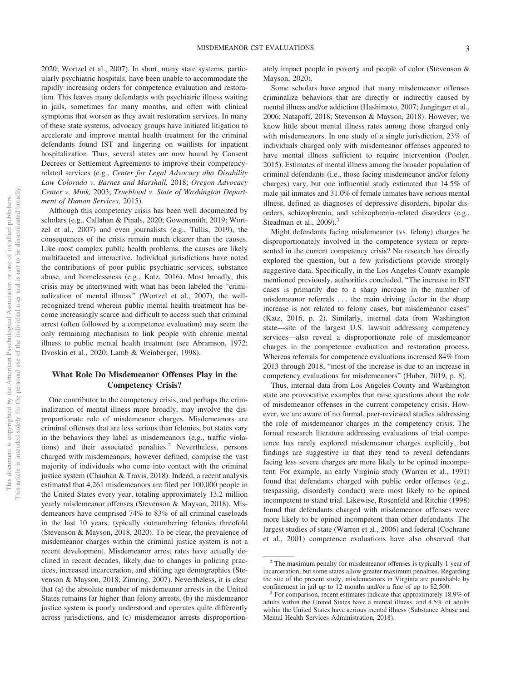2020; Wortzel et al., 2007). In short, many state systems, particularly psychiatric hospitals, have been unable to accommodate the rapidly increasing orders for competence evaluation and restoration. This leaves many defendants with psychiatric illness waiting in jails, sometimes for many months, and often with clinical symptoms that worsen as they await restoration services. In many of these state systems, advocacy groups have initiated litigation to accelerate and improve mental health treatment for the criminal defendants found IST and lingering on waitlists for inpatient hospitalization. Thus, several states are now bound by Consent Decrees or Settlement Agreements to improve their competencyrelated services (e.g., *Center for Legal Advocacy dba Disability Law Colorado v. Barnes and Marshall,* 2018; *Oregon Advocacy Center v. Mink,* 2003; *Trueblood v. State of Washington Department of Human Services,* 2015).

Although this competency crisis has been well documented by scholars (e.g., Callahan & Pinals, 2020; Gowensmith, 2019; Wortzel et al., 2007) and even journalists (e.g., Tullis, 2019), the consequences of the crisis remain much clearer than the causes. Like most complex public health problems, the causes are likely multifaceted and interactive. Individual jurisdictions have noted the contributions of poor public psychiatric services, substance abuse, and homelessness (e.g., Katz, 2016). Most broadly, this crisis may be intertwined with what has been labeled the "criminalization of mental illness*"* (Wortzel et al., 2007), the wellrecognized trend wherein public mental health treatment has become increasingly scarce and difficult to access such that criminal arrest (often followed by a competence evaluation) may seem the only remaining mechanism to link people with chronic mental illness to public mental health treatment (see Abramson, 1972; Dvoskin et al., 2020; Lamb & Weinberger, 1998).

# **What Role Do Misdemeanor Offenses Play in the Competency Crisis?**

One contributor to the competency crisis, and perhaps the criminalization of mental illness more broadly, may involve the disproportionate role of misdemeanor charges. Misdemeanors are criminal offenses that are less serious than felonies, but states vary in the behaviors they label as misdemeanors (e.g., traffic violations) and their associated penalties.<sup>2</sup> Nevertheless, persons charged with misdemeanors, however defined, comprise the vast majority of individuals who come into contact with the criminal justice system (Chauhan & Travis, 2018). Indeed, a recent analysis estimated that 4,261 misdemeanors are filed per 100,000 people in the United States every year, totaling approximately 13.2 million yearly misdemeanor offenses (Stevenson & Mayson, 2018). Misdemeanors have comprised 74% to 83% of all criminal caseloads in the last 10 years, typically outnumbering felonies threefold (Stevenson & Mayson, 2018, 2020). To be clear, the prevalence of misdemeanor charges within the criminal justice system is not a recent development. Misdemeanor arrest rates have actually declined in recent decades, likely due to changes in policing practices, increased incarceration, and shifting age demographics (Stevenson & Mayson, 2018; Zimring, 2007). Nevertheless, it is clear that (a) the absolute number of misdemeanor arrests in the United States remains far higher than felony arrests, (b) the misdemeanor justice system is poorly understood and operates quite differently across jurisdictions, and (c) misdemeanor arrests disproportion-

ately impact people in poverty and people of color (Stevenson & Mayson, 2020).

Some scholars have argued that many misdemeanor offenses criminalize behaviors that are directly or indirectly caused by mental illness and/or addiction (Hashimoto, 2007; Junginger et al., 2006; Natapoff, 2018; Stevenson & Mayson, 2018). However, we know little about mental illness rates among those charged only with misdemeanors. In one study of a single jurisdiction, 23% of individuals charged only with misdemeanor offenses appeared to have mental illness sufficient to require intervention (Pooler, 2015). Estimates of mental illness among the broader population of criminal defendants (i.e., those facing misdemeanor and/or felony charges) vary, but one influential study estimated that 14.5% of male jail inmates and 31.0% of female inmates have serious mental illness, defined as diagnoses of depressive disorders, bipolar disorders, schizophrenia, and schizophrenia-related disorders (e.g., Steadman et al., 2009).<sup>3</sup>

Might defendants facing misdemeanor (vs. felony) charges be disproportionately involved in the competence system or represented in the current competency crisis? No research has directly explored the question, but a few jurisdictions provide strongly suggestive data. Specifically, in the Los Angeles County example mentioned previously, authorities concluded, "The increase in IST cases is primarily due to a sharp increase in the number of misdemeanor referrals . . . the main driving factor in the sharp increase is not related to felony cases, but misdemeanor cases" (Katz, 2016, p. 2). Similarly, internal data from Washington state—site of the largest U.S. lawsuit addressing competency services—also reveal a disproportionate role of misdemeanor charges in the competence evaluation and restoration process. Whereas referrals for competence evaluations increased 84% from 2013 through 2018, "most of the increase is due to an increase in competency evaluations for misdemeanors" (Huber, 2019, p. 8).

Thus, internal data from Los Angeles County and Washington state are provocative examples that raise questions about the role of misdemeanor offenses in the current competency crisis. However, we are aware of no formal, peer-reviewed studies addressing the role of misdemeanor charges in the competency crisis. The formal research literature addressing evaluations of trial competence has rarely explored misdemeanor charges explicitly, but findings are suggestive in that they tend to reveal defendants facing less severe charges are more likely to be opined incompetent. For example, an early Virginia study (Warren et al., 1991) found that defendants charged with public order offenses (e.g., trespassing, disorderly conduct) were most likely to be opined incompetent to stand trial. Likewise, Rosenfeld and Ritchie (1998) found that defendants charged with misdemeanor offenses were more likely to be opined incompetent than other defendants. The largest studies of state (Warren et al., 2006) and federal (Cochrane et al., 2001) competence evaluations have also observed that

<sup>&</sup>lt;sup>2</sup> The maximum penalty for misdemeanor offenses is typically 1 year of incarceration, but some states allow greater maximum penalties. Regarding the site of the present study, misdemeanors in Virginia are punishable by

confinement in jail up to 12 months and/or a fine of up to \$2,500.<br><sup>3</sup> For comparison, recent estimates indicate that approximately 18.9% of adults within the United States have a mental illness, and 4.5% of adults within the United States have serious mental illness (Substance Abuse and Mental Health Services Administration, 2018).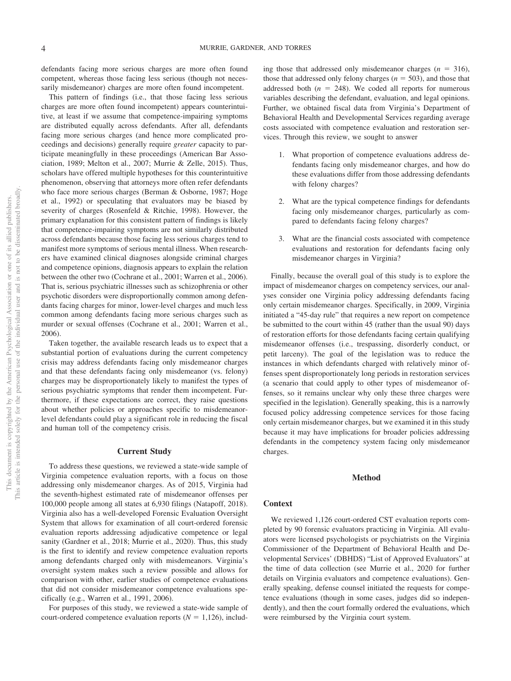defendants facing more serious charges are more often found competent, whereas those facing less serious (though not necessarily misdemeanor) charges are more often found incompetent.

This pattern of findings (i.e., that those facing less serious charges are more often found incompetent) appears counterintuitive, at least if we assume that competence-impairing symptoms are distributed equally across defendants. After all, defendants facing more serious charges (and hence more complicated proceedings and decisions) generally require *greater* capacity to participate meaningfully in these proceedings (American Bar Association, 1989; Melton et al., 2007; Murrie & Zelle, 2015). Thus, scholars have offered multiple hypotheses for this counterintuitive phenomenon, observing that attorneys more often refer defendants who face more serious charges (Berman & Osborne, 1987; Hoge et al., 1992) or speculating that evaluators may be biased by severity of charges (Rosenfeld & Ritchie, 1998). However, the primary explanation for this consistent pattern of findings is likely that competence-impairing symptoms are not similarly distributed across defendants because those facing less serious charges tend to manifest more symptoms of serious mental illness. When researchers have examined clinical diagnoses alongside criminal charges and competence opinions, diagnosis appears to explain the relation between the other two (Cochrane et al., 2001; Warren et al., 2006). That is, serious psychiatric illnesses such as schizophrenia or other psychotic disorders were disproportionally common among defendants facing charges for minor, lower-level charges and much less common among defendants facing more serious charges such as murder or sexual offenses (Cochrane et al., 2001; Warren et al., 2006).

Taken together, the available research leads us to expect that a substantial portion of evaluations during the current competency crisis may address defendants facing only misdemeanor charges and that these defendants facing only misdemeanor (vs. felony) charges may be disproportionately likely to manifest the types of serious psychiatric symptoms that render them incompetent. Furthermore, if these expectations are correct, they raise questions about whether policies or approaches specific to misdemeanorlevel defendants could play a significant role in reducing the fiscal and human toll of the competency crisis.

#### **Current Study**

To address these questions, we reviewed a state-wide sample of Virginia competence evaluation reports, with a focus on those addressing only misdemeanor charges. As of 2015, Virginia had the seventh-highest estimated rate of misdemeanor offenses per 100,000 people among all states at 6,930 filings (Natapoff, 2018). Virginia also has a well-developed Forensic Evaluation Oversight System that allows for examination of all court-ordered forensic evaluation reports addressing adjudicative competence or legal sanity (Gardner et al., 2018; Murrie et al., 2020). Thus, this study is the first to identify and review competence evaluation reports among defendants charged only with misdemeanors. Virginia's oversight system makes such a review possible and allows for comparison with other, earlier studies of competence evaluations that did not consider misdemeanor competence evaluations specifically (e.g., Warren et al., 1991, 2006).

For purposes of this study, we reviewed a state-wide sample of court-ordered competence evaluation reports  $(N = 1,126)$ , includ-

ing those that addressed only misdemeanor charges  $(n = 316)$ , those that addressed only felony charges  $(n = 503)$ , and those that addressed both  $(n = 248)$ . We coded all reports for numerous variables describing the defendant, evaluation, and legal opinions. Further, we obtained fiscal data from Virginia's Department of Behavioral Health and Developmental Services regarding average costs associated with competence evaluation and restoration services. Through this review, we sought to answer

- 1. What proportion of competence evaluations address defendants facing only misdemeanor charges, and how do these evaluations differ from those addressing defendants with felony charges?
- 2. What are the typical competence findings for defendants facing only misdemeanor charges, particularly as compared to defendants facing felony charges?
- 3. What are the financial costs associated with competence evaluations and restoration for defendants facing only misdemeanor charges in Virginia?

Finally, because the overall goal of this study is to explore the impact of misdemeanor charges on competency services, our analyses consider one Virginia policy addressing defendants facing only certain misdemeanor charges. Specifically, in 2009, Virginia initiated a "45-day rule" that requires a new report on competence be submitted to the court within 45 (rather than the usual 90) days of restoration efforts for those defendants facing certain qualifying misdemeanor offenses (i.e., trespassing, disorderly conduct, or petit larceny). The goal of the legislation was to reduce the instances in which defendants charged with relatively minor offenses spent disproportionately long periods in restoration services (a scenario that could apply to other types of misdemeanor offenses, so it remains unclear why only these three charges were specified in the legislation). Generally speaking, this is a narrowly focused policy addressing competence services for those facing only certain misdemeanor charges, but we examined it in this study because it may have implications for broader policies addressing defendants in the competency system facing only misdemeanor charges.

### **Method**

### **Context**

We reviewed 1,126 court-ordered CST evaluation reports completed by 90 forensic evaluators practicing in Virginia. All evaluators were licensed psychologists or psychiatrists on the Virginia Commissioner of the Department of Behavioral Health and Developmental Services' (DBHDS) "List of Approved Evaluators" at the time of data collection (see Murrie et al., 2020 for further details on Virginia evaluators and competence evaluations). Generally speaking, defense counsel initiated the requests for competence evaluations (though in some cases, judges did so independently), and then the court formally ordered the evaluations, which were reimbursed by the Virginia court system.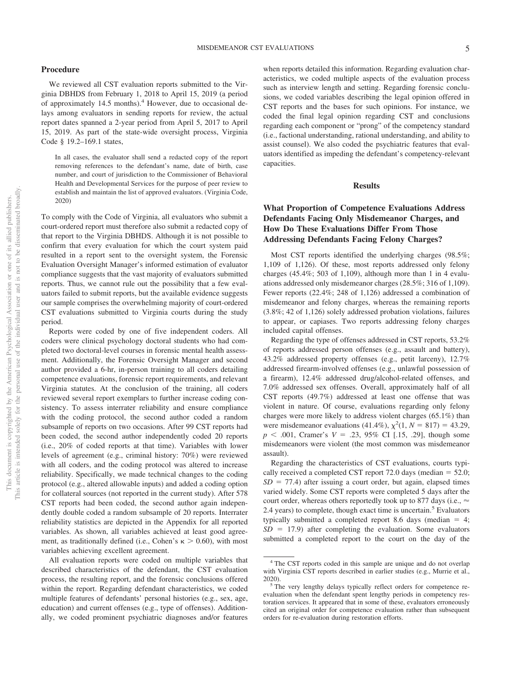### **Procedure**

We reviewed all CST evaluation reports submitted to the Virginia DBHDS from February 1, 2018 to April 15, 2019 (a period of approximately 14.5 months).<sup>4</sup> However, due to occasional delays among evaluators in sending reports for review, the actual report dates spanned a 2-year period from April 5, 2017 to April 15, 2019. As part of the state-wide oversight process, Virginia Code § 19.2–169.1 states,

In all cases, the evaluator shall send a redacted copy of the report removing references to the defendant's name, date of birth, case number, and court of jurisdiction to the Commissioner of Behavioral Health and Developmental Services for the purpose of peer review to establish and maintain the list of approved evaluators. (Virginia Code, 2020)

To comply with the Code of Virginia, all evaluators who submit a court-ordered report must therefore also submit a redacted copy of that report to the Virginia DBHDS. Although it is not possible to confirm that every evaluation for which the court system paid resulted in a report sent to the oversight system, the Forensic Evaluation Oversight Manager's informed estimation of evaluator compliance suggests that the vast majority of evaluators submitted reports. Thus, we cannot rule out the possibility that a few evaluators failed to submit reports, but the available evidence suggests our sample comprises the overwhelming majority of court-ordered CST evaluations submitted to Virginia courts during the study period.

Reports were coded by one of five independent coders. All coders were clinical psychology doctoral students who had completed two doctoral-level courses in forensic mental health assessment. Additionally, the Forensic Oversight Manager and second author provided a 6-hr, in-person training to all coders detailing competence evaluations, forensic report requirements, and relevant Virginia statutes. At the conclusion of the training, all coders reviewed several report exemplars to further increase coding consistency. To assess interrater reliability and ensure compliance with the coding protocol, the second author coded a random subsample of reports on two occasions. After 99 CST reports had been coded, the second author independently coded 20 reports (i.e., 20% of coded reports at that time). Variables with lower levels of agreement (e.g., criminal history: 70%) were reviewed with all coders, and the coding protocol was altered to increase reliability. Specifically, we made technical changes to the coding protocol (e.g., altered allowable inputs) and added a coding option for collateral sources (not reported in the current study). After 578 CST reports had been coded, the second author again independently double coded a random subsample of 20 reports. Interrater reliability statistics are depicted in the Appendix for all reported variables. As shown, all variables achieved at least good agreement, as traditionally defined (i.e., Cohen's  $\kappa > 0.60$ ), with most variables achieving excellent agreement.

All evaluation reports were coded on multiple variables that described characteristics of the defendant, the CST evaluation process, the resulting report, and the forensic conclusions offered within the report. Regarding defendant characteristics, we coded multiple features of defendants' personal histories (e.g., sex, age, education) and current offenses (e.g., type of offenses). Additionally, we coded prominent psychiatric diagnoses and/or features

when reports detailed this information. Regarding evaluation characteristics, we coded multiple aspects of the evaluation process such as interview length and setting. Regarding forensic conclusions, we coded variables describing the legal opinion offered in CST reports and the bases for such opinions. For instance, we coded the final legal opinion regarding CST and conclusions regarding each component or "prong" of the competency standard (i.e., factional understanding, rational understanding, and ability to assist counsel). We also coded the psychiatric features that evaluators identified as impeding the defendant's competency-relevant capacities.

### **Results**

# **What Proportion of Competence Evaluations Address Defendants Facing Only Misdemeanor Charges, and How Do These Evaluations Differ From Those Addressing Defendants Facing Felony Charges?**

Most CST reports identified the underlying charges (98.5%; 1,109 of 1,126). Of these, most reports addressed only felony charges  $(45.4\%; 503$  of 1,109), although more than 1 in 4 evaluations addressed only misdemeanor charges (28.5%; 316 of 1,109). Fewer reports (22.4%; 248 of 1,126) addressed a combination of misdemeanor and felony charges, whereas the remaining reports (3.8%; 42 of 1,126) solely addressed probation violations, failures to appear, or capiases. Two reports addressing felony charges included capital offenses.

Regarding the type of offenses addressed in CST reports, 53.2% of reports addressed person offenses (e.g., assault and battery), 43.2% addressed property offenses (e.g., petit larceny), 12.7% addressed firearm-involved offenses (e.g., unlawful possession of a firearm), 12.4% addressed drug/alcohol-related offenses, and 7.0% addressed sex offenses. Overall, approximately half of all CST reports (49.7%) addressed at least one offense that was violent in nature. Of course, evaluations regarding only felony charges were more likely to address violent charges (65.1%) than were misdemeanor evaluations (41.4%),  $\chi^2(1, N = 817) = 43.29$ ,  $p \leq .001$ , Cramer's  $V = .23, 95\%$  CI [.15, .29], though some misdemeanors were violent (the most common was misdemeanor assault).

Regarding the characteristics of CST evaluations, courts typically received a completed CST report  $72.0$  days (median  $=$  52.0;  $SD = 77.4$ ) after issuing a court order, but again, elapsed times varied widely. Some CST reports were completed 5 days after the court order, whereas others reportedly took up to 877 days (i.e.,  $\approx$ 2.4 years) to complete, though exact time is uncertain.<sup>5</sup> Evaluators typically submitted a completed report 8.6 days (median  $= 4$ ;  $SD = 17.9$ ) after completing the evaluation. Some evaluators submitted a completed report to the court on the day of the

This document is copyrighted by the American Psychological Association or one of its allied publishers. This article is intended solely for the personal use of the individual user and is not to be disseminated broadly.

This document is copyrighted by the American Psychological Association This article is intended solely for the personal use of the individual user and

 $\rm \tilde{o}$  $\widetilde{\Xi}$ 

not to be disseminated broadly. one of its allied publishers.

<sup>4</sup> The CST reports coded in this sample are unique and do not overlap with Virginia CST reports described in earlier studies (e.g., Murrie et al.,

<sup>2020).</sup>  $5$  The very lengthy delays typically reflect orders for competence reevaluation when the defendant spent lengthy periods in competency restoration services. It appeared that in some of these, evaluators erroneously cited an original order for competence evaluation rather than subsequent orders for re-evaluation during restoration efforts.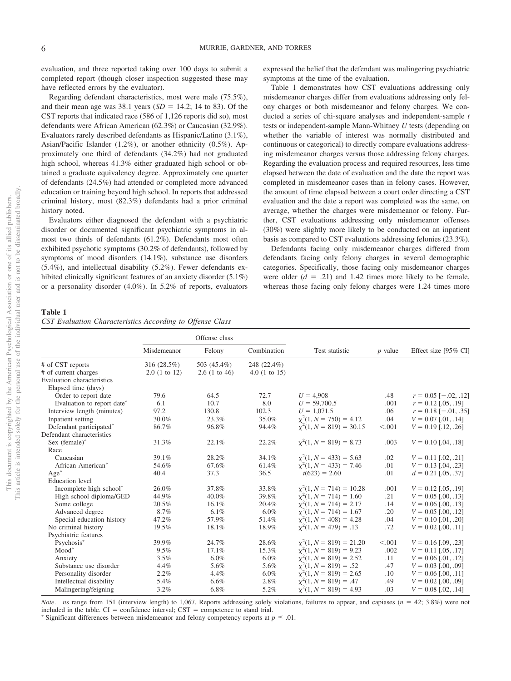evaluation, and three reported taking over 100 days to submit a completed report (though closer inspection suggested these may have reflected errors by the evaluator).

Regarding defendant characteristics, most were male (75.5%), and their mean age was  $38.1$  years  $(SD = 14.2; 14$  to 83). Of the CST reports that indicated race (586 of 1,126 reports did so), most defendants were African American (62.3%) or Caucasian (32.9%). Evaluators rarely described defendants as Hispanic/Latino (3.1%), Asian/Pacific Islander (1.2%), or another ethnicity (0.5%). Approximately one third of defendants (34.2%) had not graduated high school, whereas 41.3% either graduated high school or obtained a graduate equivalency degree. Approximately one quarter of defendants (24.5%) had attended or completed more advanced education or training beyond high school. In reports that addressed criminal history, most (82.3%) defendants had a prior criminal history noted.

Evaluators either diagnosed the defendant with a psychiatric disorder or documented significant psychiatric symptoms in almost two thirds of defendants (61.2%). Defendants most often exhibited psychotic symptoms (30.2% of defendants), followed by symptoms of mood disorders (14.1%), substance use disorders (5.4%), and intellectual disability (5.2%). Fewer defendants exhibited clinically significant features of an anxiety disorder (5.1%) or a personality disorder (4.0%). In 5.2% of reports, evaluators expressed the belief that the defendant was malingering psychiatric symptoms at the time of the evaluation.

[Table 1](#page-5-0) demonstrates how CST evaluations addressing only misdemeanor charges differ from evaluations addressing only felony charges or both misdemeanor and felony charges. We conducted a series of chi-square analyses and independent-sample *t* tests or independent-sample Mann-Whitney *U* tests (depending on whether the variable of interest was normally distributed and continuous or categorical) to directly compare evaluations addressing misdemeanor charges versus those addressing felony charges. Regarding the evaluation process and required resources, less time elapsed between the date of evaluation and the date the report was completed in misdemeanor cases than in felony cases. However, the amount of time elapsed between a court order directing a CST evaluation and the date a report was completed was the same, on average, whether the charges were misdemeanor or felony. Further, CST evaluations addressing only misdemeanor offenses (30%) were slightly more likely to be conducted on an inpatient basis as compared to CST evaluations addressing felonies (23.3%).

Defendants facing only misdemeanor charges differed from defendants facing only felony charges in several demographic categories. Specifically, those facing only misdemeanor charges were older  $(d = .21)$  and 1.42 times more likely to be female, whereas those facing only felony charges were 1.24 times more

### <span id="page-5-0"></span>**Table 1**

|  |  | CST Evaluation Characteristics According to Offense Class |  |  |  |  |
|--|--|-----------------------------------------------------------|--|--|--|--|
|--|--|-----------------------------------------------------------|--|--|--|--|

|                                   |              | Offense class |              |                              |           |                            |
|-----------------------------------|--------------|---------------|--------------|------------------------------|-----------|----------------------------|
|                                   | Misdemeanor  | Felony        | Combination  | Test statistic               | $p$ value | Effect size [95% CI]       |
| # of CST reports                  | 316 (28.5%)  | 503 (45.4%)   | 248 (22.4%)  |                              |           |                            |
| # of current charges              | 2.0(1 to 12) | 2.6(1 to 46)  | 4.0(1 to 15) |                              |           |                            |
| <b>Evaluation</b> characteristics |              |               |              |                              |           |                            |
| Elapsed time (days)               |              |               |              |                              |           |                            |
| Order to report date              | 79.6         | 64.5          | 72.7         | $U = 4.908$                  | .48       | $r = 0.05$ [ $-.02, .12$ ] |
| Evaluation to report date*        | 6.1          | 10.7          | 8.0          | $U = 59,700.5$               | .001      | $r = 0.12$ [.05, .19]      |
| Interview length (minutes)        | 97.2         | 130.8         | 102.3        | $U = 1,071.5$                | .06       | $r = 0.18[-.01, .35]$      |
| Inpatient setting                 | 30.0%        | 23.3%         | 35.0%        | $\chi^2(1, N = 750) = 4.12$  | .04       | $V = 0.07$ [.01, .14]      |
| Defendant participated*           | 86.7%        | 96.8%         | 94.4%        | $\chi^2(1, N = 819) = 30.15$ | < 0.001   | $V = 0.19$ [.12, .26]      |
| Defendant characteristics         |              |               |              |                              |           |                            |
| Sex $(female)^*$                  | 31.3%        | 22.1%         | 22.2%        | $\chi^2(1, N = 819) = 8.73$  | .003      | $V = 0.10$ [.04, .18]      |
| Race                              |              |               |              |                              |           |                            |
| Caucasian                         | 39.1%        | 28.2%         | 34.1%        | $\chi^2(1, N = 433) = 5.63$  | .02       | $V = 0.11$ [.02, .21]      |
| African American*                 | 54.6%        | 67.6%         | 61.4%        | $\chi^2(1, N = 433) = 7.46$  | .01       | $V = 0.13$ [.04, .23]      |
| $Age^*$                           | 40.4         | 37.3          | 36.5         | $t(623) = 2.60$              | .01       | $d = 0.21$ [.05, .37]      |
| <b>Education</b> level            |              |               |              |                              |           |                            |
| Incomplete high school*           | 26.0%        | 37.8%         | 33.8%        | $\chi^2(1, N = 714) = 10.28$ | .001      | $V = 0.12$ [.05, .19]      |
| High school diploma/GED           | 44.9%        | 40.0%         | 39.8%        | $\chi^2(1, N = 714) = 1.60$  | .21       | $V = 0.05$ [.00, .13]      |
| Some college                      | 20.5%        | 16.1%         | 20.4%        | $\chi^2(1, N = 714) = 2.17$  | .14       | $V = 0.06$ [.00, .13]      |
| Advanced degree                   | 8.7%         | $6.1\%$       | 6.0%         | $\chi^2(1, N = 714) = 1.67$  | .20       | $V = 0.05$ [.00, .12]      |
| Special education history         | 47.2%        | 57.9%         | 51.4%        | $\chi^2(1, N = 408) = 4.28$  | .04       | $V = 0.10$ [.01, .20]      |
| No criminal history               | 19.5%        | 18.1%         | 18.9%        | $x^2(1, N = 479) = .13$      | .72       | $V = 0.02$ [.00, .11]      |
| Psychiatric features              |              |               |              |                              |           |                            |
| Psychosis*                        | 39.9%        | 24.7%         | 28.6%        | $\chi^2(1, N = 819) = 21.20$ | < 0.001   | $V = 0.16$ [.09, .23]      |
| $Mod^*$                           | 9.5%         | 17.1%         | 15.3%        | $\chi^2(1, N = 819) = 9.23$  | .002      | $V = 0.11$ [.05, .17]      |
| Anxiety                           | 3.5%         | $6.0\%$       | 6.0%         | $\chi^2(1, N = 819) = 2.52$  | .11       | $V = 0.06$ [.01, .12]      |
| Substance use disorder            | 4.4%         | 5.6%          | 5.6%         | $\chi^2(1, N = 819) = .52$   | .47       | $V = 0.03$ [.00, .09]      |
| Personality disorder              | 2.2%         | 4.4%          | 6.0%         | $\chi^2(1, N = 819) = 2.65$  | .10       | $V = 0.06$ [.00, .11]      |
| Intellectual disability           | 5.4%         | 6.6%          | 2.8%         | $x^2(1, N = 819) = .47$      | .49       | $V = 0.02$ [.00, .09]      |
| Malingering/feigning              | 3.2%         | 6.8%          | 5.2%         | $\chi^2(1, N = 819) = 4.93$  | .03       | $V = 0.08$ [.02, .14]      |

*Note. ns* range from 151 (interview length) to 1,067. Reports addressing solely violations, failures to appear, and capiases ( $n = 42$ ; 3.8%) were not included in the table.  $CI =$  confidence interval;  $CST =$  competence to stand trial.

Significant differences between misdemeanor and felony competency reports at  $p \leq 0.01$ .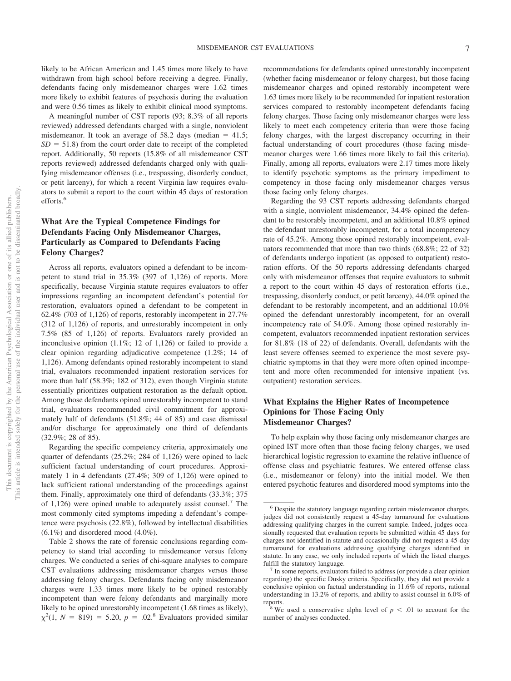likely to be African American and 1.45 times more likely to have withdrawn from high school before receiving a degree. Finally, defendants facing only misdemeanor charges were 1.62 times more likely to exhibit features of psychosis during the evaluation and were 0.56 times as likely to exhibit clinical mood symptoms.

A meaningful number of CST reports (93; 8.3% of all reports reviewed) addressed defendants charged with a single, nonviolent misdemeanor. It took an average of  $58.2$  days (median =  $41.5$ ;  $SD = 51.8$ ) from the court order date to receipt of the completed report. Additionally, 50 reports (15.8% of all misdemeanor CST reports reviewed) addressed defendants charged only with qualifying misdemeanor offenses (i.e., trespassing, disorderly conduct, or petit larceny), for which a recent Virginia law requires evaluators to submit a report to the court within 45 days of restoration efforts.<sup>6</sup>

# **What Are the Typical Competence Findings for Defendants Facing Only Misdemeanor Charges, Particularly as Compared to Defendants Facing Felony Charges?**

Across all reports, evaluators opined a defendant to be incompetent to stand trial in 35.3% (397 of 1,126) of reports. More specifically, because Virginia statute requires evaluators to offer impressions regarding an incompetent defendant's potential for restoration, evaluators opined a defendant to be competent in 62.4% (703 of 1,126) of reports, restorably incompetent in 27.7% (312 of 1,126) of reports, and unrestorably incompetent in only 7.5% (85 of 1,126) of reports. Evaluators rarely provided an inconclusive opinion (1.1%; 12 of 1,126) or failed to provide a clear opinion regarding adjudicative competence (1.2%; 14 of 1,126). Among defendants opined restorably incompetent to stand trial, evaluators recommended inpatient restoration services for more than half (58.3%; 182 of 312), even though Virginia statute essentially prioritizes outpatient restoration as the default option. Among those defendants opined unrestorably incompetent to stand trial, evaluators recommended civil commitment for approximately half of defendants (51.8%; 44 of 85) and case dismissal and/or discharge for approximately one third of defendants (32.9%; 28 of 85).

Regarding the specific competency criteria, approximately one quarter of defendants (25.2%; 284 of 1,126) were opined to lack sufficient factual understanding of court procedures. Approximately 1 in 4 defendants (27.4%; 309 of 1,126) were opined to lack sufficient rational understanding of the proceedings against them. Finally, approximately one third of defendants (33.3%; 375 of 1,126) were opined unable to adequately assist counsel.<sup>7</sup> The most commonly cited symptoms impeding a defendant's competence were psychosis (22.8%), followed by intellectual disabilities  $(6.1\%)$  and disordered mood  $(4.0\%).$ 

Table 2 shows the rate of forensic conclusions regarding competency to stand trial according to misdemeanor versus felony charges. We conducted a series of chi-square analyses to compare CST evaluations addressing misdemeanor charges versus those addressing felony charges. Defendants facing only misdemeanor charges were 1.33 times more likely to be opined restorably incompetent than were felony defendants and marginally more likely to be opined unrestorably incompetent (1.68 times as likely),  $\chi^2(1, N = 819) = 5.20, p = .02$ .<sup>8</sup> Evaluators provided similar

recommendations for defendants opined unrestorably incompetent (whether facing misdemeanor or felony charges), but those facing misdemeanor charges and opined restorably incompetent were 1.63 times more likely to be recommended for inpatient restoration services compared to restorably incompetent defendants facing felony charges. Those facing only misdemeanor charges were less likely to meet each competency criteria than were those facing felony charges, with the largest discrepancy occurring in their factual understanding of court procedures (those facing misdemeanor charges were 1.66 times more likely to fail this criteria). Finally, among all reports, evaluators were 2.17 times more likely to identify psychotic symptoms as the primary impediment to competency in those facing only misdemeanor charges versus those facing only felony charges.

Regarding the 93 CST reports addressing defendants charged with a single, nonviolent misdemeanor, 34.4% opined the defendant to be restorably incompetent, and an additional 10.8% opined the defendant unrestorably incompetent, for a total incompetency rate of 45.2%. Among those opined restorably incompetent, evaluators recommended that more than two thirds (68.8%; 22 of 32) of defendants undergo inpatient (as opposed to outpatient) restoration efforts. Of the 50 reports addressing defendants charged only with misdemeanor offenses that require evaluators to submit a report to the court within 45 days of restoration efforts (i.e., trespassing, disorderly conduct, or petit larceny), 44.0% opined the defendant to be restorably incompetent, and an additional 10.0% opined the defendant unrestorably incompetent, for an overall incompetency rate of 54.0%. Among those opined restorably incompetent, evaluators recommended inpatient restoration services for 81.8% (18 of 22) of defendants. Overall, defendants with the least severe offenses seemed to experience the most severe psychiatric symptoms in that they were more often opined incompetent and more often recommended for intensive inpatient (vs. outpatient) restoration services.

# **What Explains the Higher Rates of Incompetence Opinions for Those Facing Only Misdemeanor Charges?**

To help explain why those facing only misdemeanor charges are opined IST more often than those facing felony charges, we used hierarchical logistic regression to examine the relative influence of offense class and psychiatric features. We entered offense class (i.e., misdemeanor or felony) into the initial model. We then entered psychotic features and disordered mood symptoms into the

<sup>6</sup> Despite the statutory language regarding certain misdemeanor charges, judges did not consistently request a 45-day turnaround for evaluations addressing qualifying charges in the current sample. Indeed, judges occasionally requested that evaluation reports be submitted within 45 days for charges not identified in statute and occasionally did not request a 45-day turnaround for evaluations addressing qualifying charges identified in statute. In any case, we only included reports of which the listed charges fulfill the statutory language.<br><sup>7</sup> In some reports, evaluators failed to address (or provide a clear opinion

regarding) the specific Dusky criteria. Specifically, they did not provide a conclusive opinion on factual understanding in 11.6% of reports, rational understanding in 13.2% of reports, and ability to assist counsel in 6.0% of

reports.<br><sup>8</sup> We used a conservative alpha level of  $p < .01$  to account for the number of analyses conducted.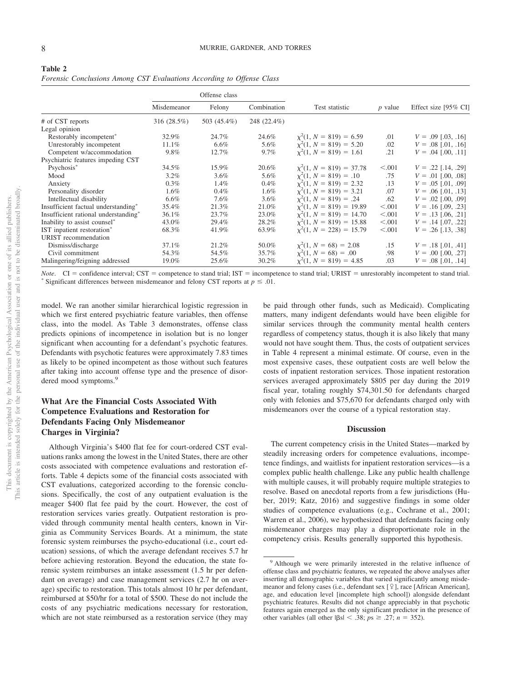| Table 2                                                               |  |  |
|-----------------------------------------------------------------------|--|--|
| Forensic Conclusions Among CST Evaluations According to Offense Class |  |  |

|                                      |             | Offense class |             |                              |           |                      |
|--------------------------------------|-------------|---------------|-------------|------------------------------|-----------|----------------------|
|                                      | Misdemeanor | Felony        | Combination | Test statistic               | $p$ value | Effect size [95% CI] |
| # of CST reports                     | 316 (28.5%) | 503 (45.4%)   | 248 (22.4%) |                              |           |                      |
| Legal opinion                        |             |               |             |                              |           |                      |
| Restorably incompetent <sup>*</sup>  | 32.9%       | 24.7%         | 24.6%       | $\chi^2(1, N = 819) = 6.59$  | .01       | $V = .09$ [.03, .16] |
| Unrestorably incompetent             | 11.1%       | 6.6%          | 5.6%        | $\chi^2(1, N = 819) = 5.20$  | .02       | $V = .08$ [.01, .16] |
| Competent w/accommodation            | 9.8%        | 12.7%         | $9.7\%$     | $\chi^2(1, N = 819) = 1.61$  | .21       | $V = .04$ [.00, .11] |
| Psychiatric features impeding CST    |             |               |             |                              |           |                      |
| Psychosis*                           | 34.5%       | 15.9%         | 20.6%       | $\chi^2(1, N = 819) = 37.78$ | < 0.001   | $V = .22$ [.14, .29] |
| Mood                                 | $3.2\%$     | $3.6\%$       | 5.6%        | $x^2(1, N = 819) = .10$      | .75       | $V = .01$ [.00, .08] |
| Anxiety                              | $0.3\%$     | $1.4\%$       | $0.4\%$     | $x^2(1, N = 819) = 2.32$     | .13       | $V = .05$ [.01, .09] |
| Personality disorder                 | $1.6\%$     | $0.4\%$       | $1.6\%$     | $x^2(1, N = 819) = 3.21$     | .07       | $V = .06$ [.01, .13] |
| Intellectual disability              | $6.6\%$     | 7.6%          | $3.6\%$     | $x^2(1, N = 819) = .24$      | .62       | $V = .02$ [.00, .09] |
| Insufficient factual understanding*  | 35.4%       | 21.3%         | 21.0%       | $\chi^2(1, N = 819) = 19.89$ | < 0.001   | $V = .16$ [.09, .23] |
| Insufficient rational understanding* | 36.1%       | 23.7%         | 23.0%       | $\chi^2(1, N = 819) = 14.70$ | < 0.001   | $V = .13$ [.06, .21] |
| Inability to assist counsel*         | 43.0%       | 29.4%         | 28.2%       | $x^2(1, N = 819) = 15.88$    | < 0.001   | $V = .14$ [.07, .22] |
| IST inpatient restoration*           | 68.3%       | 41.9%         | 63.9%       | $x^2(1, N = 228) = 15.79$    | < 0.001   | $V = .26$ [.13, .38] |
| URIST recommendation                 |             |               |             |                              |           |                      |
| Dismiss/discharge                    | 37.1%       | 21.2%         | 50.0%       | $\chi^2(1, N = 68) = 2.08$   | .15       | $V = .18$ [.01, .41] |
| Civil commitment                     | 54.3%       | 54.5%         | 35.7%       | $x^2(1, N = 68) = .00$       | .98       | $V = .00$ [.00, .27] |
| Malingering/feigning addressed       | 19.0%       | 25.6%         | 30.2%       | $\chi^2(1, N = 819) = 4.85$  | .03       | $V = .08$ [.01, .14] |

*Note*. CI = confidence interval; CST = competence to stand trial; IST = incompetence to stand trial; URIST = unrestorably incompetent to stand trial.<br>\* Significant differences between misdemeanor and felony CST reports a Significant differences between misdemeanor and felony CST reports at  $p \leq .01$ .

model. We ran another similar hierarchical logistic regression in which we first entered psychiatric feature variables, then offense class, into the model. As [Table 3](#page-8-0) demonstrates, offense class predicts opinions of incompetence in isolation but is no longer significant when accounting for a defendant's psychotic features. Defendants with psychotic features were approximately 7.83 times as likely to be opined incompetent as those without such features after taking into account offense type and the presence of disordered mood symptoms.<sup>9</sup>

# **What Are the Financial Costs Associated With Competence Evaluations and Restoration for Defendants Facing Only Misdemeanor Charges in Virginia?**

Although Virginia's \$400 flat fee for court-ordered CST evaluations ranks among the lowest in the United States, there are other costs associated with competence evaluations and restoration efforts. [Table 4](#page-9-0) depicts some of the financial costs associated with CST evaluations, categorized according to the forensic conclusions. Specifically, the cost of any outpatient evaluation is the meager \$400 flat fee paid by the court. However, the cost of restoration services varies greatly. Outpatient restoration is provided through community mental health centers, known in Virginia as Community Services Boards. At a minimum, the state forensic system reimburses the psycho-educational (i.e., court education) sessions, of which the average defendant receives 5.7 hr before achieving restoration. Beyond the education, the state forensic system reimburses an intake assessment (1.5 hr per defendant on average) and case management services (2.7 hr on average) specific to restoration. This totals almost 10 hr per defendant, reimbursed at \$50/hr for a total of \$500. These do not include the costs of any psychiatric medications necessary for restoration, which are not state reimbursed as a restoration service (they may

be paid through other funds, such as Medicaid). Complicating matters, many indigent defendants would have been eligible for similar services through the community mental health centers regardless of competency status, though it is also likely that many would not have sought them. Thus, the costs of outpatient services in [Table 4](#page-9-0) represent a minimal estimate. Of course, even in the most expensive cases, these outpatient costs are well below the costs of inpatient restoration services. Those inpatient restoration services averaged approximately \$805 per day during the 2019 fiscal year, totaling roughly \$74,301.50 for defendants charged only with felonies and \$75,670 for defendants charged only with misdemeanors over the course of a typical restoration stay.

### **Discussion**

The current competency crisis in the United States—marked by steadily increasing orders for competence evaluations, incompetence findings, and waitlists for inpatient restoration services—is a complex public health challenge. Like any public health challenge with multiple causes, it will probably require multiple strategies to resolve. Based on anecdotal reports from a few jurisdictions (Huber, 2019; Katz, 2016) and suggestive findings in some older studies of competence evaluations (e.g., Cochrane et al., 2001; Warren et al., 2006), we hypothesized that defendants facing only misdemeanor charges may play a disproportionate role in the competency crisis. Results generally supported this hypothesis.

<sup>9</sup> Although we were primarily interested in the relative influence of offense class and psychiatric features, we repeated the above analyses after inserting all demographic variables that varied significantly among misdemeanor and felony cases (i.e., defendant sex  $[2]$ , race [African American], age, and education level [incomplete high school]) alongside defendant psychiatric features. Results did not change appreciably in that psychotic features again emerged as the only significant predictor in the presence of other variables (all other  $|\beta s| < .38$ ;  $ps \ge .27$ ;  $n = 352$ ).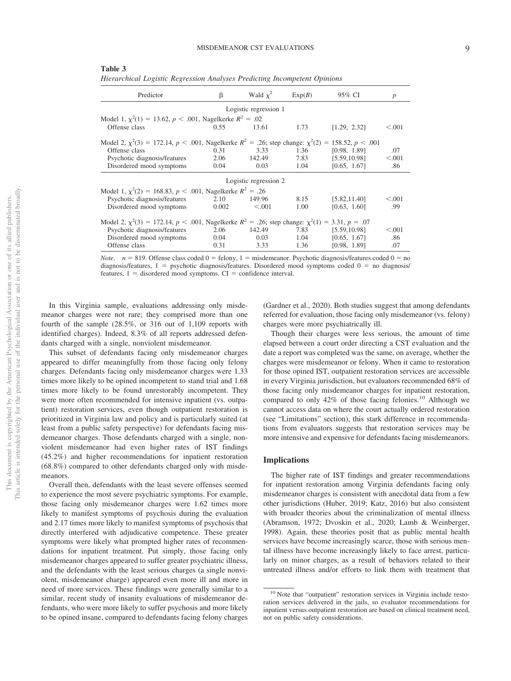| Predictor                                                                                                         | β     | Wald $\chi^2$         | Exp(B) | 95% CI             | $\boldsymbol{p}$ |
|-------------------------------------------------------------------------------------------------------------------|-------|-----------------------|--------|--------------------|------------------|
|                                                                                                                   |       | Logistic regression 1 |        |                    |                  |
| Model 1, $\chi^2(1) = 13.62$ , $p < .001$ , Nagelkerke $R^2 = .02$                                                |       |                       |        |                    |                  |
| Offense class                                                                                                     | 0.55  | 13.61                 | 1.73   | [1.29, 2.32]       | < 0.001          |
| Model 2, $\chi^2(3) = 172.14$ , $p < .001$ , Nagelkerke $R^2 = .26$ ; step change: $\chi^2(2) =$                  |       |                       |        | 158.52, $p < .001$ |                  |
| Offense class                                                                                                     | 0.31  | 3.33                  | 1.36   | [0.98, 1.89]       | .07              |
| Psychotic diagnosis/features                                                                                      | 2.06  | 142.49                | 7.83   | [5.59, 10.98]      | < 0.001          |
| Disordered mood symptoms                                                                                          | 0.04  | 0.03                  | 1.04   | [0.65, 1.67]       | .86              |
|                                                                                                                   |       | Logistic regression 2 |        |                    |                  |
| Model 1, $\chi^2(2) = 168.83$ , $p < .001$ , Nagelkerke $R^2 = .26$                                               |       |                       |        |                    |                  |
| Psychotic diagnosis/features                                                                                      | 2.10  | 149.96                | 8.15   | [5.82, 11.40]      | < 0.001          |
| Disordered mood symptoms                                                                                          | 0.002 | < 0.001               | 1.00   | [0.63, 1.60]       | .99              |
| Model 2, $\chi^2(3) = 172.14$ , $p < .001$ , Nagelkerke $R^2 = .26$ ; step change: $\chi^2(1) = 3.31$ , $p = .07$ |       |                       |        |                    |                  |
| Psychotic diagnosis/features                                                                                      | 2.06  | 142.49                | 7.83   | [5.59, 10.98]      | < 0.001          |
| Disordered mood symptoms                                                                                          | 0.04  | 0.03                  | 1.04   | [0.65, 1.67]       | .86              |
| Offense class                                                                                                     | 0.31  | 3.33                  | 1.36   | [0.98, 1.89]       | .07              |

<span id="page-8-0"></span>**Table 3** *Hierarchical Logistic Regression Analyses Predicting Incompetent Opinions*

*Note*.  $n = 819$ . Offense class coded  $0 =$  felony,  $1 =$  misdemeanor. Psychotic diagnosis/features coded  $0 =$  no diagnosis/features,  $1 =$  psychotic diagnosis/features. Disordered mood symptoms coded  $0 =$  no diagnosis/ features,  $1 =$  disordered mood symptoms.  $CI =$  confidence interval.

In this Virginia sample, evaluations addressing only misdemeanor charges were not rare; they comprised more than one fourth of the sample (28.5%, or 316 out of 1,109 reports with identified charges). Indeed, 8.3% of all reports addressed defendants charged with a single, nonviolent misdemeanor.

This subset of defendants facing only misdemeanor charges appeared to differ meaningfully from those facing only felony charges. Defendants facing only misdemeanor charges were 1.33 times more likely to be opined incompetent to stand trial and 1.68 times more likely to be found unrestorably incompetent. They were more often recommended for intensive inpatient (vs. outpatient) restoration services, even though outpatient restoration is prioritized in Virginia law and policy and is particularly suited (at least from a public safety perspective) for defendants facing misdemeanor charges. Those defendants charged with a single, nonviolent misdemeanor had even higher rates of IST findings (45.2%) and higher recommendations for inpatient restoration (68.8%) compared to other defendants charged only with misdemeanors.

Overall then, defendants with the least severe offenses seemed to experience the most severe psychiatric symptoms. For example, those facing only misdemeanor charges were 1.62 times more likely to manifest symptoms of psychosis during the evaluation and 2.17 times more likely to manifest symptoms of psychosis that directly interfered with adjudicative competence. These greater symptoms were likely what prompted higher rates of recommendations for inpatient treatment. Put simply, those facing only misdemeanor charges appeared to suffer greater psychiatric illness, and the defendants with the least serious charges (a single nonviolent, misdemeanor charge) appeared even more ill and more in need of more services. These findings were generally similar to a similar, recent study of insanity evaluations of misdemeanor defendants, who were more likely to suffer psychosis and more likely to be opined insane, compared to defendants facing felony charges (Gardner et al., 2020). Both studies suggest that among defendants referred for evaluation, those facing only misdemeanor (vs. felony) charges were more psychiatrically ill.

Though their charges were less serious, the amount of time elapsed between a court order directing a CST evaluation and the date a report was completed was the same, on average, whether the charges were misdemeanor or felony. When it came to restoration for those opined IST, outpatient restoration services are accessible in every Virginia jurisdiction, but evaluators recommended 68% of those facing only misdemeanor charges for inpatient restoration, compared to only 42% of those facing felonies.<sup>10</sup> Although we cannot access data on where the court actually ordered restoration (see "Limitations" section), this stark difference in recommendations from evaluators suggests that restoration services may be more intensive and expensive for defendants facing misdemeanors.

#### **Implications**

The higher rate of IST findings and greater recommendations for inpatient restoration among Virginia defendants facing only misdemeanor charges is consistent with anecdotal data from a few other jurisdictions (Huber, 2019; Katz, 2016) but also consistent with broader theories about the criminalization of mental illness (Abramson, 1972; Dvoskin et al., 2020; Lamb & Weinberger, 1998). Again, these theories posit that as public mental health services have become increasingly scarce, those with serious mental illness have become increasingly likely to face arrest, particularly on minor charges, as a result of behaviors related to their untreated illness and/or efforts to link them with treatment that

<sup>&</sup>lt;sup>10</sup> Note that "outpatient" restoration services in Virginia include restoration services delivered in the jails, so evaluator recommendations for inpatient versus outpatient restoration are based on clinical treatment need, not on public safety considerations.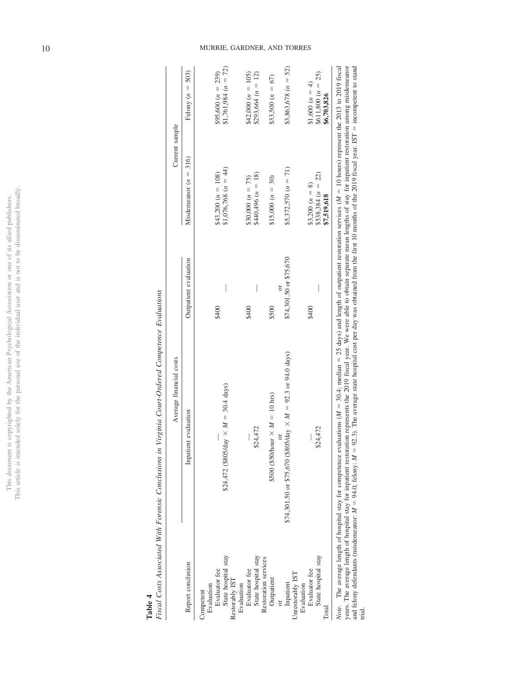This document is copyrighted by the American Psychological Association or one of its allied publishers.<br>This article is intended solely for the personal use of the individual user and is not to be disseminated broadly. This article is intended solely for the personal use of the individual user and is not to be disseminated broadly. This document is copyrighted by the American Psychological Association or one of its allied publishers.

<span id="page-9-0"></span>**Table 4**

Fiscal Costs Associated With Forensic Conclusions in Virginia Court-Ordered Competence Evaluations Fiscal Costs Associated With Forensic Conclusions in Virginia Court-Ordered Competence Evaluations

|                                                                                                 | Average financial costs                                                                                                                                                                                                                                                                                                                                                                                                                                                                                                                                     |                         | Current sample                                          |                                                         |
|-------------------------------------------------------------------------------------------------|-------------------------------------------------------------------------------------------------------------------------------------------------------------------------------------------------------------------------------------------------------------------------------------------------------------------------------------------------------------------------------------------------------------------------------------------------------------------------------------------------------------------------------------------------------------|-------------------------|---------------------------------------------------------|---------------------------------------------------------|
| Report conclusion                                                                               | Inpatient evaluation                                                                                                                                                                                                                                                                                                                                                                                                                                                                                                                                        | Outpatient evaluation   | Misdemeanor $(n = 316)$                                 | Felony $(n = 503)$                                      |
| State hospital stay<br>Evaluator fee<br>Restorably IST<br>Evaluation<br>Evaluation<br>Competent | \$24,472 (\$805/day $\times M = 30.4$ days)                                                                                                                                                                                                                                                                                                                                                                                                                                                                                                                 | \$400                   | \$1,076,768 $(n = 44)$<br>$$43,200(n = 108)$            | $$1,761,984 (n = 72)$<br>$$95,600 (n = 239)$            |
| State hospital stay<br>Restoration services<br>Evaluator fee                                    | \$24,472                                                                                                                                                                                                                                                                                                                                                                                                                                                                                                                                                    | \$400                   | $$440,496 (n = 18)$<br>\$30,000 $(n = 75)$              | $$293,664 (n = 12)$<br>$$42,000(n = 105)$               |
| Outpatient                                                                                      | \$500 (\$50/hour $\times M = 10$ hrs)                                                                                                                                                                                                                                                                                                                                                                                                                                                                                                                       | \$500                   | $$15,000 (n = 30)$                                      | $$33,500 (n = 67)$                                      |
| Unrestorably IST<br>Inpatient<br>Evaluation                                                     | \$74,301.50 or \$75,670 (\$805/day $\times M = 92.3$ or 94.0 days)<br>öľ                                                                                                                                                                                                                                                                                                                                                                                                                                                                                    | \$74,301.50 or \$75,670 | $$5,372,570 (n = 71)$                                   | $$3,863,678 (n = 52)$                                   |
| State hospital stay<br>Evaluator fee<br>Total                                                   | \$24,472                                                                                                                                                                                                                                                                                                                                                                                                                                                                                                                                                    | \$400                   | $$538,384 (n = 22)$<br>\$3,200 $(n = 8)$<br>\$7,519,618 | $$611,800 (n = 25)$<br>\$1,600 $(n = 4)$<br>\$6,703,826 |
| and felony defendants (misdemeanor: $M = 94.0$ ; felony: $M =$<br>trial.                        | years. The average length of hospital stay for inpatient restoration represents the 2019 fiscal year. We were able to obtain separate mean lengths of stay for inpatient restoration among misdemeanor<br>92.3). The average state hospital cost per day was obtained from the first 10 months of the 2019 fiscal year. IST = incompetent to stand<br>Note. The average length of hospital stay for competence evaluations $(M = 30.4$ ; median = 25 days) and length of outpatient restoration services $(M = 10$ hours) represent the 2013 to 2019 fiscal |                         |                                                         |                                                         |

10 MURRIE, GARDNER, AND TORRES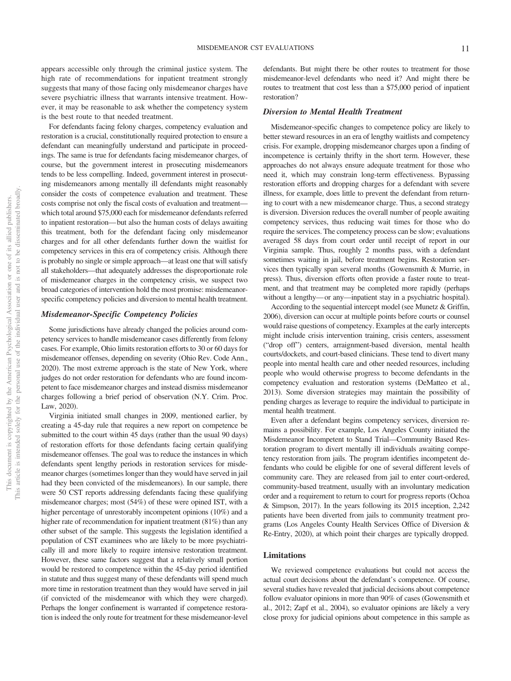appears accessible only through the criminal justice system. The high rate of recommendations for inpatient treatment strongly suggests that many of those facing only misdemeanor charges have severe psychiatric illness that warrants intensive treatment. However, it may be reasonable to ask whether the competency system is the best route to that needed treatment.

For defendants facing felony charges, competency evaluation and restoration is a crucial, constitutionally required protection to ensure a defendant can meaningfully understand and participate in proceedings. The same is true for defendants facing misdemeanor charges, of course, but the government interest in prosecuting misdemeanors tends to be less compelling. Indeed, government interest in prosecuting misdemeanors among mentally ill defendants might reasonably consider the costs of competence evaluation and treatment. These costs comprise not only the fiscal costs of evaluation and treatment which total around \$75,000 each for misdemeanor defendants referred to inpatient restoration— but also the human costs of delays awaiting this treatment, both for the defendant facing only misdemeanor charges and for all other defendants further down the waitlist for competency services in this era of competency crisis. Although there is probably no single or simple approach—at least one that will satisfy all stakeholders—that adequately addresses the disproportionate role of misdemeanor charges in the competency crisis, we suspect two broad categories of intervention hold the most promise: misdemeanorspecific competency policies and diversion to mental health treatment.

### *Misdemeanor-Specific Competency Policies*

Some jurisdictions have already changed the policies around competency services to handle misdemeanor cases differently from felony cases. For example, Ohio limits restoration efforts to 30 or 60 days for misdemeanor offenses, depending on severity (Ohio Rev. Code Ann., 2020). The most extreme approach is the state of New York, where judges do not order restoration for defendants who are found incompetent to face misdemeanor charges and instead dismiss misdemeanor charges following a brief period of observation (N.Y. Crim. Proc. Law, 2020).

Virginia initiated small changes in 2009, mentioned earlier, by creating a 45-day rule that requires a new report on competence be submitted to the court within 45 days (rather than the usual 90 days) of restoration efforts for those defendants facing certain qualifying misdemeanor offenses. The goal was to reduce the instances in which defendants spent lengthy periods in restoration services for misdemeanor charges (sometimes longer than they would have served in jail had they been convicted of the misdemeanors). In our sample, there were 50 CST reports addressing defendants facing these qualifying misdemeanor charges; most (54%) of these were opined IST, with a higher percentage of unrestorably incompetent opinions (10%) and a higher rate of recommendation for inpatient treatment (81%) than any other subset of the sample. This suggests the legislation identified a population of CST examinees who are likely to be more psychiatrically ill and more likely to require intensive restoration treatment. However, these same factors suggest that a relatively small portion would be restored to competence within the 45-day period identified in statute and thus suggest many of these defendants will spend much more time in restoration treatment than they would have served in jail (if convicted of the misdemeanor with which they were charged). Perhaps the longer confinement is warranted if competence restoration is indeed the only route for treatment for these misdemeanor-level defendants. But might there be other routes to treatment for those misdemeanor-level defendants who need it? And might there be routes to treatment that cost less than a \$75,000 period of inpatient restoration?

### *Diversion to Mental Health Treatment*

Misdemeanor-specific changes to competence policy are likely to better steward resources in an era of lengthy waitlists and competency crisis. For example, dropping misdemeanor charges upon a finding of incompetence is certainly thrifty in the short term. However, these approaches do not always ensure adequate treatment for those who need it, which may constrain long-term effectiveness. Bypassing restoration efforts and dropping charges for a defendant with severe illness, for example, does little to prevent the defendant from returning to court with a new misdemeanor charge. Thus, a second strategy is diversion. Diversion reduces the overall number of people awaiting competency services, thus reducing wait times for those who do require the services. The competency process can be slow; evaluations averaged 58 days from court order until receipt of report in our Virginia sample. Thus, roughly 2 months pass, with a defendant sometimes waiting in jail, before treatment begins. Restoration services then typically span several months (Gowensmith & Murrie, in press). Thus, diversion efforts often provide a faster route to treatment, and that treatment may be completed more rapidly (perhaps without a lengthy—or any—inpatient stay in a psychiatric hospital).

According to the sequential intercept model (see Munetz & Griffin, 2006), diversion can occur at multiple points before courts or counsel would raise questions of competency. Examples at the early intercepts might include crisis intervention training, crisis centers, assessment ("drop off") centers, arraignment-based diversion, mental health courts/dockets, and court-based clinicians. These tend to divert many people into mental health care and other needed resources, including people who would otherwise progress to become defendants in the competency evaluation and restoration systems (DeMatteo et al., 2013). Some diversion strategies may maintain the possibility of pending charges as leverage to require the individual to participate in mental health treatment.

Even after a defendant begins competency services, diversion remains a possibility. For example, Los Angeles County initiated the Misdemeanor Incompetent to Stand Trial—Community Based Restoration program to divert mentally ill individuals awaiting competency restoration from jails. The program identifies incompetent defendants who could be eligible for one of several different levels of community care. They are released from jail to enter court-ordered, community-based treatment, usually with an involuntary medication order and a requirement to return to court for progress reports (Ochoa & Simpson, 2017). In the years following its 2015 inception, 2,242 patients have been diverted from jails to community treatment programs (Los Angeles County Health Services Office of Diversion & Re-Entry, 2020), at which point their charges are typically dropped.

### **Limitations**

We reviewed competence evaluations but could not access the actual court decisions about the defendant's competence. Of course, several studies have revealed that judicial decisions about competence follow evaluator opinions in more than 90% of cases (Gowensmith et al., 2012; Zapf et al., 2004), so evaluator opinions are likely a very close proxy for judicial opinions about competence in this sample as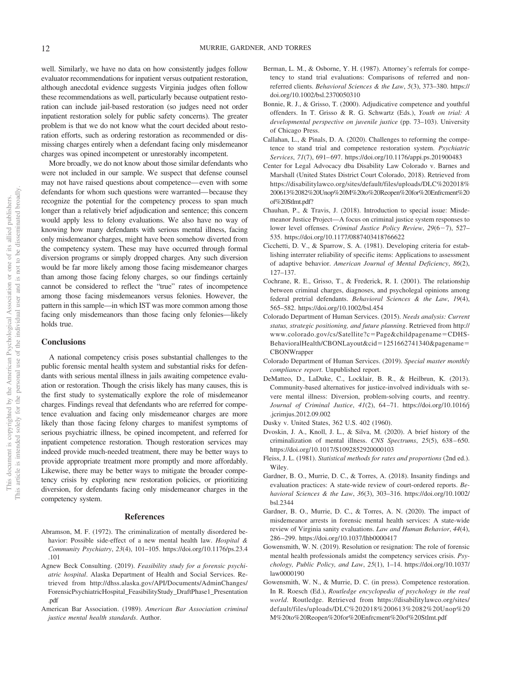well. Similarly, we have no data on how consistently judges follow evaluator recommendations for inpatient versus outpatient restoration, although anecdotal evidence suggests Virginia judges often follow these recommendations as well, particularly because outpatient restoration can include jail-based restoration (so judges need not order inpatient restoration solely for public safety concerns). The greater problem is that we do not know what the court decided about restoration efforts, such as ordering restoration as recommended or dismissing charges entirely when a defendant facing only misdemeanor charges was opined incompetent or unrestorably incompetent.

More broadly, we do not know about those similar defendants who were not included in our sample. We suspect that defense counsel may not have raised questions about competence—even with some defendants for whom such questions were warranted— because they recognize the potential for the competency process to span much longer than a relatively brief adjudication and sentence; this concern would apply less to felony evaluations. We also have no way of knowing how many defendants with serious mental illness, facing only misdemeanor charges, might have been somehow diverted from the competency system. These may have occurred through formal diversion programs or simply dropped charges. Any such diversion would be far more likely among those facing misdemeanor charges than among those facing felony charges, so our findings certainly cannot be considered to reflect the "true" rates of incompetence among those facing misdemeanors versus felonies. However, the pattern in this sample—in which IST was more common among those facing only misdemeanors than those facing only felonies—likely holds true.

### **Conclusions**

A national competency crisis poses substantial challenges to the public forensic mental health system and substantial risks for defendants with serious mental illness in jails awaiting competence evaluation or restoration. Though the crisis likely has many causes, this is the first study to systematically explore the role of misdemeanor charges. Findings reveal that defendants who are referred for competence evaluation and facing only misdemeanor charges are more likely than those facing felony charges to manifest symptoms of serious psychiatric illness, be opined incompetent, and referred for inpatient competence restoration. Though restoration services may indeed provide much-needed treatment, there may be better ways to provide appropriate treatment more promptly and more affordably. Likewise, there may be better ways to mitigate the broader competency crisis by exploring new restoration policies, or prioritizing diversion, for defendants facing only misdemeanor charges in the competency system.

### **References**

- Abramson, M. F. (1972). The criminalization of mentally disordered behavior: Possible side-effect of a new mental health law. *Hospital & Community Psychiatry*, *23*(4), 101–105. [https://doi.org/10.1176/ps.23.4](https://doi.org/10.1176/ps.23.4.101) [.101](https://doi.org/10.1176/ps.23.4.101)
- Agnew Beck Consulting. (2019). *Feasibility study for a forensic psychiatric hospital*. Alaska Department of Health and Social Services. Retrieved from [http://dhss.alaska.gov/API/Documents/AdminChanges/](http://dhss.alaska.gov/API/Documents/AdminChanges/ForensicPsychiatricHospital_FeasibilityStudy_DraftPhase1_Presentation.pdf) [ForensicPsychiatricHospital\\_FeasibilityStudy\\_DraftPhase1\\_Presentation](http://dhss.alaska.gov/API/Documents/AdminChanges/ForensicPsychiatricHospital_FeasibilityStudy_DraftPhase1_Presentation.pdf) [.pdf](http://dhss.alaska.gov/API/Documents/AdminChanges/ForensicPsychiatricHospital_FeasibilityStudy_DraftPhase1_Presentation.pdf)
- American Bar Association. (1989). *American Bar Association criminal justice mental health standards*. Author.
- Berman, L. M., & Osborne, Y. H. (1987). Attorney's referrals for competency to stand trial evaluations: Comparisons of referred and nonreferred clients. *Behavioral Sciences & the Law*, *5*(3), 373–380. [https://](https://doi.org/10.1002/bsl.2370050310) [doi.org/10.1002/bsl.2370050310](https://doi.org/10.1002/bsl.2370050310)
- Bonnie, R. J., & Grisso, T. (2000). Adjudicative competence and youthful offenders. In T. Grisso & R. G. Schwartz (Eds.), *Youth on trial: A developmental perspective on juvenile justice* (pp. 73–103). University of Chicago Press.
- Callahan, L., & Pinals, D. A. (2020). Challenges to reforming the competence to stand trial and competence restoration system. *Psychiatric Services*, *71*(7), 691– 697.<https://doi.org/10.1176/appi.ps.201900483>
- Center for Legal Advocacy dba Disability Law Colorado v. Barnes and Marshall (United States District Court Colorado, 2018). Retrieved from [https://disabilitylawco.org/sites/default/files/uploads/DLC%202018%](https://disabilitylawco.org/sites/default/files/uploads/DLC%202018%200613%2082%20Unop%20M%20to%20Reopen%20for%20Enfrcment%20of%20Stlmt.pdf?) [200613%2082%20Unop%20M%20to%20Reopen%20for%20Enfrcment%20](https://disabilitylawco.org/sites/default/files/uploads/DLC%202018%200613%2082%20Unop%20M%20to%20Reopen%20for%20Enfrcment%20of%20Stlmt.pdf?) [of%20Stlmt.pdf?](https://disabilitylawco.org/sites/default/files/uploads/DLC%202018%200613%2082%20Unop%20M%20to%20Reopen%20for%20Enfrcment%20of%20Stlmt.pdf?)
- Chauhan, P., & Travis, J. (2018). Introduction to special issue: Misdemeanor Justice Project—A focus on criminal justice system responses to lower level offenses. *Criminal Justice Policy Review*, 29(6-7), 527-535.<https://doi.org/10.1177/0887403418766622>
- Cicchetti, D. V., & Sparrow, S. A. (1981). Developing criteria for establishing interrater reliability of specific items: Applications to assessment of adaptive behavior. *American Journal of Mental Deficiency*, *86*(2), 127–137.
- Cochrane, R. E., Grisso, T., & Frederick, R. I. (2001). The relationship between criminal charges, diagnoses, and psycholegal opinions among federal pretrial defendants. *Behavioral Sciences & the Law*, *19*(4), 565–582.<https://doi.org/10.1002/bsl.454>
- Colorado Department of Human Services. (2015). *Needs analysis: Current status, strategic positioning, and future planning*. Retrieved from [http://](http://www.colorado.gov/cs/Satellite?c=Page&childpagename=CDHS-BehavioralHealth/CBONLayout&cid=1251662741340&pagename=CBONWrapper) [www.colorado.gov/cs/Satellite?c](http://www.colorado.gov/cs/Satellite?c=Page&childpagename=CDHS-BehavioralHealth/CBONLayout&cid=1251662741340&pagename=CBONWrapper)-Page&childpagename-CDHS-[BehavioralHealth/CBONLayout&cid](http://www.colorado.gov/cs/Satellite?c=Page&childpagename=CDHS-BehavioralHealth/CBONLayout&cid=1251662741340&pagename=CBONWrapper)=1251662741340&pagename= **[CBONWrapper](http://www.colorado.gov/cs/Satellite?c=Page&childpagename=CDHS-BehavioralHealth/CBONLayout&cid=1251662741340&pagename=CBONWrapper)**
- Colorado Department of Human Services. (2019). *Special master monthly compliance report*. Unpublished report.
- DeMatteo, D., LaDuke, C., Locklair, B. R., & Heilbrun, K. (2013). Community-based alternatives for justice-involved individuals with severe mental illness: Diversion, problem-solving courts, and reentry. *Journal of Criminal Justice*, *41*(2), 64 –71. [https://doi.org/10.1016/j](https://doi.org/10.1016/j.jcrimjus.2012.09.002) [.jcrimjus.2012.09.002](https://doi.org/10.1016/j.jcrimjus.2012.09.002)
- Dusky v. United States, 362 U.S. 402 (1960).
- Dvoskin, J. A., Knoll, J. L., & Silva, M. (2020). A brief history of the criminalization of mental illness. *CNS Spectrums*, *25*(5), 638 – 650. <https://doi.org/10.1017/S1092852920000103>
- Fleiss, J. L. (1981). *Statistical methods for rates and proportions* (2nd ed.). Wiley.
- Gardner, B. O., Murrie, D. C., & Torres, A. (2018). Insanity findings and evaluation practices: A state-wide review of court-ordered reports. *Behavioral Sciences & the Law*, *36*(3), 303–316. [https://doi.org/10.1002/](https://doi.org/10.1002/bsl.2344) [bsl.2344](https://doi.org/10.1002/bsl.2344)
- Gardner, B. O., Murrie, D. C., & Torres, A. N. (2020). The impact of misdemeanor arrests in forensic mental health services: A state-wide review of Virginia sanity evaluations. *Law and Human Behavior*, *44*(4), 286 –299.<https://doi.org/10.1037/lhb0000417>
- Gowensmith, W. N. (2019). Resolution or resignation: The role of forensic mental health professionals amidst the competency services crisis. *Psychology, Public Policy, and Law*, *25*(1), 1–14. [https://doi.org/10.1037/](https://doi.org/10.1037/law0000190) [law0000190](https://doi.org/10.1037/law0000190)
- Gowensmith, W. N., & Murrie, D. C. (in press). Competence restoration. In R. Roesch (Ed.), *Routledge encyclopedia of psychology in the real world*. Routledge. Retrieved from [https://disabilitylawco.org/sites/](https://disabilitylawco.org/sites/default/files/uploads/DLC%202018%200613%2082%20Unop%20M%20to%20Reopen%20for%20Enfrcment%20of%20Stlmt.pdf) [default/files/uploads/DLC%202018%200613%2082%20Unop%20](https://disabilitylawco.org/sites/default/files/uploads/DLC%202018%200613%2082%20Unop%20M%20to%20Reopen%20for%20Enfrcment%20of%20Stlmt.pdf) [M%20to%20Reopen%20for%20Enfrcment%20of%20Stlmt.pdf](https://disabilitylawco.org/sites/default/files/uploads/DLC%202018%200613%2082%20Unop%20M%20to%20Reopen%20for%20Enfrcment%20of%20Stlmt.pdf)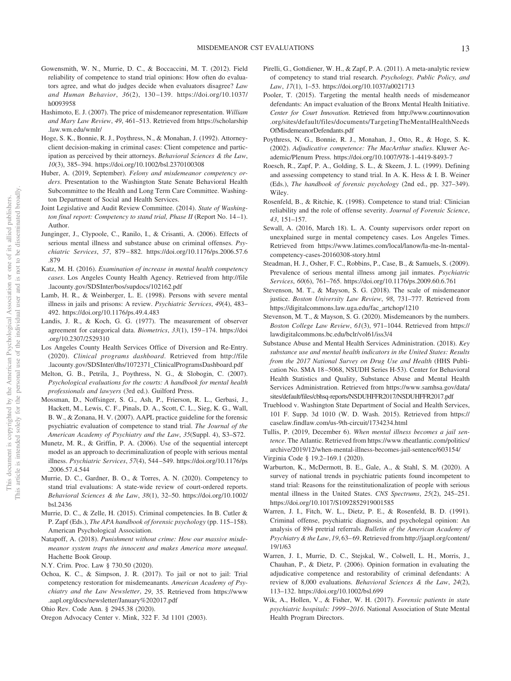- Gowensmith, W. N., Murrie, D. C., & Boccaccini, M. T. (2012). Field reliability of competence to stand trial opinions: How often do evaluators agree, and what do judges decide when evaluators disagree? *Law and Human Behavior*, *36*(2), 130 –139. [https://doi.org/10.1037/](https://doi.org/10.1037/h0093958) [h0093958](https://doi.org/10.1037/h0093958)
- Hashimoto, E. J. (2007). The price of misdemeanor representation. *William and Mary Law Review*, *49*, 461–513. Retrieved from [https://scholarship](https://scholarship.law.wm.edu/wmlr/) [.law.wm.edu/wmlr/](https://scholarship.law.wm.edu/wmlr/)
- Hoge, S. K., Bonnie, R. J., Poythress, N., & Monahan, J. (1992). Attorneyclient decision-making in criminal cases: Client competence and participation as perceived by their attorneys. *Behavioral Sciences & the Law*, *10*(3), 385–394.<https://doi.org/10.1002/bsl.2370100308>
- Huber, A. (2019, September). *Felony and misdemeanor competency orders*. Presentation to the Washington State Senate Behavioral Health Subcommittee to the Health and Long Term Care Committee. Washington Department of Social and Health Services.
- Joint Legislative and Audit Review Committee. (2014). *State of Washington final report: Competency to stand trial, Phase II* (Report No. 14-1). Author.
- Junginger, J., Clypoole, C., Ranilo, I., & Crisanti, A. (2006). Effects of serious mental illness and substance abuse on criminal offenses. *Psychiatric Services*, *57*, 879 – 882. [https://doi.org/10.1176/ps.2006.57.6](https://doi.org/10.1176/ps.2006.57.6.879) [.879](https://doi.org/10.1176/ps.2006.57.6.879)
- Katz, M. H. (2016). *Examination of increase in mental health competency cases*. Los Angeles County Health Agency. Retrieved from [http://file](http://file.lacounty.gov/SDSInter/bos/supdocs/102162.pdf) [.lacounty.gov/SDSInter/bos/supdocs/102162.pdf](http://file.lacounty.gov/SDSInter/bos/supdocs/102162.pdf)
- Lamb, H. R., & Weinberger, L. E. (1998). Persons with severe mental illness in jails and prisons: A review. *Psychiatric Services*, *49*(4), 483– 492.<https://doi.org/10.1176/ps.49.4.483>
- Landis, J. R., & Koch, G. G. (1977). The measurement of observer agreement for categorical data. *Biometrics*, *33*(1), 159 –174. [https://doi](https://doi.org/10.2307/2529310) [.org/10.2307/2529310](https://doi.org/10.2307/2529310)
- Los Angeles County Health Services Office of Diversion and Re-Entry. (2020). *Clinical programs dashboard*. Retrieved from [http://file](http://file.lacounty.gov/SDSInter/dhs/1072371_ClinicalProgramsDashboard.pdf) [.lacounty.gov/SDSInter/dhs/1072371\\_ClinicalProgramsDashboard.pdf](http://file.lacounty.gov/SDSInter/dhs/1072371_ClinicalProgramsDashboard.pdf)
- Melton, G. B., Petrila, J., Poythress, N. G., & Slobogin, C. (2007). *Psychological evaluations for the courts: A handbook for mental health professionals and lawyers* (3rd ed.). Guilford Press.
- Mossman, D., Noffsinger, S. G., Ash, P., Frierson, R. L., Gerbasi, J., Hackett, M., Lewis, C. F., Pinals, D. A., Scott, C. L., Sieg, K. G., Wall, B. W., & Zonana, H. V. (2007). AAPL practice guideline for the forensic psychiatric evaluation of competence to stand trial. *The Journal of the American Academy of Psychiatry and the Law*, *35*(Suppl. 4), S3–S72.
- Munetz, M. R., & Griffin, P. A. (2006). Use of the sequential intercept model as an approach to decriminalization of people with serious mental illness. *Psychiatric Services*, *57*(4), 544 –549. [https://doi.org/10.1176/ps](https://doi.org/10.1176/ps.2006.57.4.544) [.2006.57.4.544](https://doi.org/10.1176/ps.2006.57.4.544)
- Murrie, D. C., Gardner, B. O., & Torres, A. N. (2020). Competency to stand trial evaluations: A state-wide review of court-ordered reports. *Behavioral Sciences & the Law*, *38*(1), 32–50. [https://doi.org/10.1002/](https://doi.org/10.1002/bsl.2436) [bsl.2436](https://doi.org/10.1002/bsl.2436)
- Murrie, D. C., & Zelle, H. (2015). Criminal competencies. In B. Cutler & P. Zapf (Eds.), *The APA handbook of forensic psychology* (pp. 115–158). American Psychological Association.
- Natapoff, A. (2018). *Punishment without crime: How our massive misdemeanor system traps the innocent and makes America more unequal*. Hachette Book Group.
- N.Y. Crim. Proc. Law § 730.50 (2020).
- Ochoa, K. C., & Simpson, J. R. (2017). To jail or not to jail: Trial competency restoration for misdemeanants. *American Academy of Psychiatry and the Law Newsletter*, *29*, 35. Retrieved from [https://www](https://www.aapl.org/docs/newsletter/January%202017.pdf) [.aapl.org/docs/newsletter/January%202017.pdf](https://www.aapl.org/docs/newsletter/January%202017.pdf)
- Ohio Rev. Code Ann. § 2945.38 (2020).
- Oregon Advocacy Center v. Mink, 322 F. 3d 1101 (2003).
- Pirelli, G., Gottdiener, W. H., & Zapf, P. A. (2011). A meta-analytic review of competency to stand trial research. *Psychology, Public Policy, and Law*, *17*(1), 1–53.<https://doi.org/10.1037/a0021713>
- Pooler, T. (2015). Targeting the mental health needs of misdemeanor defendants: An impact evaluation of the Bronx Mental Health Initiative. *Center for Court Innovation*. Retrieved from [http://www.courtinnovation](http://www.courtinnovation.org/sites/default/files/documents/TargetingTheMentalHealthNeedsOfMisdemeanorDefendants.pdf) [.org/sites/default/files/documents/TargetingTheMentalHealthNeeds](http://www.courtinnovation.org/sites/default/files/documents/TargetingTheMentalHealthNeedsOfMisdemeanorDefendants.pdf) [OfMisdemeanorDefendants.pdf](http://www.courtinnovation.org/sites/default/files/documents/TargetingTheMentalHealthNeedsOfMisdemeanorDefendants.pdf)
- Poythress, N. G., Bonnie, R. J., Monahan, J., Otto, R., & Hoge, S. K. (2002). *Adjudicative competence: The MacArthur studies*. Kluwer Academic/Plenum Press.<https://doi.org/10.1007/978-1-4419-8493-7>
- Roesch, R., Zapf, P. A., Golding, S. L., & Skeem, J. L. (1999). Defining and assessing competency to stand trial. In A. K. Hess & I. B. Weiner (Eds.), *The handbook of forensic psychology* (2nd ed., pp. 327–349). Wiley.
- Rosenfeld, B., & Ritchie, K. (1998). Competence to stand trial: Clinician reliability and the role of offense severity. *Journal of Forensic Science*, *43*, 151–157.
- Sewall, A. (2016, March 18). L. A. County supervisors order report on unexplained surge in mental competency cases. Los Angeles Times. Retrieved from [https://www.latimes.com/local/lanow/la-me-ln-mental](https://www.latimes.com/local/lanow/la-me-ln-mental-competency-cases-20160308-story.html)[competency-cases-20160308-story.html](https://www.latimes.com/local/lanow/la-me-ln-mental-competency-cases-20160308-story.html)
- Steadman, H. J., Osher, F. C., Robbins, P., Case, B., & Samuels, S. (2009). Prevalence of serious mental illness among jail inmates. *Psychiatric Services*, *60*(6), 761–765.<https://doi.org/10.1176/ps.2009.60.6.761>
- Stevenson, M. T., & Mayson, S. G. (2018). The scale of misdemeanor justice. *Boston University Law Review*, *98*, 731–777. Retrieved from [https://digitalcommons.law.uga.edu/fac\\_artchop/1210](https://digitalcommons.law.uga.edu/fac_artchop/1210)
- Stevenson, M. T., & Mayson, S. G. (2020). Misdemeanors by the numbers. *Boston College Law Review*, *61*(3), 971–1044. Retrieved from [https://](https://lawdigitalcommons.bc.edu/bclr/vol61/iss3/4) [lawdigitalcommons.bc.edu/bclr/vol61/iss3/4](https://lawdigitalcommons.bc.edu/bclr/vol61/iss3/4)
- Substance Abuse and Mental Health Services Administration. (2018). *Key substance use and mental health indicators in the United States: Results from the 2017 National Survey on Drug Use and Health* (HHS Publication No. SMA 18 –5068, NSUDH Series H-53). Center for Behavioral Health Statistics and Quality, Substance Abuse and Mental Health Services Administration. Retrieved from [https://www.samhsa.gov/data/](https://www.samhsa.gov/data/sites/default/files/cbhsq-reports/NSDUHFFR2017/NSDUHFFR2017.pdf) [sites/default/files/cbhsq-reports/NSDUHFFR2017/NSDUHFFR2017.pdf](https://www.samhsa.gov/data/sites/default/files/cbhsq-reports/NSDUHFFR2017/NSDUHFFR2017.pdf)
- Trueblood v. Washington State Department of Social and Health Services, 101 F. Supp. 3d 1010 (W. D. Wash. 2015). Retrieved from [https://](https://caselaw.findlaw.com/us-9th-circuit/1734234.html) [caselaw.findlaw.com/us-9th-circuit/1734234.html](https://caselaw.findlaw.com/us-9th-circuit/1734234.html)
- Tullis, P. (2019, December 6). *When mental illness becomes a jail sentence*. The Atlantic. Retrieved from [https://www.theatlantic.com/politics/](https://www.theatlantic.com/politics/archive/2019/12/when-mental-illness-becomes-jail-sentence/603154/) [archive/2019/12/when-mental-illness-becomes-jail-sentence/603154/](https://www.theatlantic.com/politics/archive/2019/12/when-mental-illness-becomes-jail-sentence/603154/) Virginia Code § 19.2–169.1 (2020).
- Warburton, K., McDermott, B. E., Gale, A., & Stahl, S. M. (2020). A survey of national trends in psychiatric patients found incompetent to stand trial: Reasons for the reinstitutionalization of people with serious mental illness in the United States. *CNS Spectrums*, *25*(2), 245–251. <https://doi.org/10.1017/S1092852919001585>
- Warren, J. I., Fitch, W. L., Dietz, P. E., & Rosenfeld, B. D. (1991). Criminal offense, psychiatric diagnosis, and psycholegal opinion: An analysis of 894 pretrial referrals. *Bulletin of the American Academy of Psychiatry & the Law*, *19*, 63– 69. Retrieved from [http://jaapl.org/content/](http://jaapl.org/content/19/1/63) [19/1/63](http://jaapl.org/content/19/1/63)
- Warren, J. I., Murrie, D. C., Stejskal, W., Colwell, L. H., Morris, J., Chauhan, P., & Dietz, P. (2006). Opinion formation in evaluating the adjudicative competence and restorability of criminal defendants: A review of 8,000 evaluations. *Behavioral Sciences & the Law*, *24*(2), 113–132.<https://doi.org/10.1002/bsl.699>
- <span id="page-12-0"></span>Wik, A., Hollen, V., & Fisher, W. H. (2017). *Forensic patients in state psychiatric hospitals: 1999 –2016*. National Association of State Mental Health Program Directors.